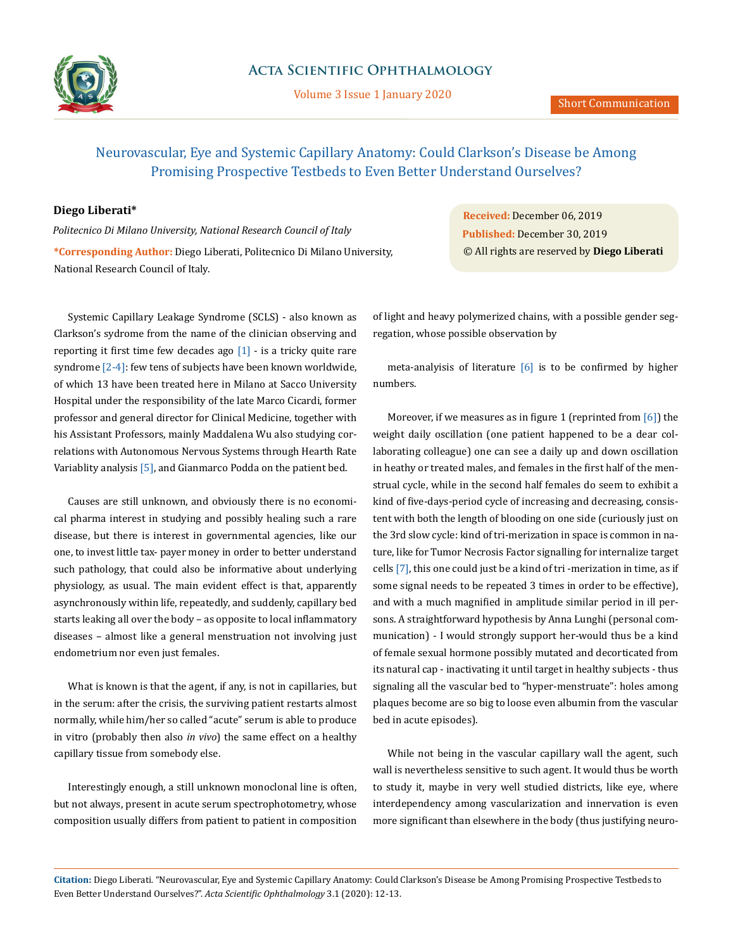

Volume 3 Issue 1 January 2020

# Neurovascular, Eye and Systemic Capillary Anatomy: Could Clarkson's Disease be Among Promising Prospective Testbeds to Even Better Understand Ourselves?

## **Diego Liberati\***

*Politecnico Di Milano University, National Research Council of Italy* **\*Corresponding Author:** Diego Liberati, Politecnico Di Milano University, National Research Council of Italy.

Systemic Capillary Leakage Syndrome (SCLS) - also known as Clarkson's sydrome from the name of the clinician observing and reporting it first time few decades ago  $[1]$  - is a tricky quite rare syndrome [2-4]: few tens of subjects have been known worldwide, of which 13 have been treated here in Milano at Sacco University Hospital under the responsibility of the late Marco Cicardi, former professor and general director for Clinical Medicine, together with his Assistant Professors, mainly Maddalena Wu also studying correlations with Autonomous Nervous Systems through Hearth Rate Variablity analysis [5], and Gianmarco Podda on the patient bed.

Causes are still unknown, and obviously there is no economical pharma interest in studying and possibly healing such a rare disease, but there is interest in governmental agencies, like our one, to invest little tax- payer money in order to better understand such pathology, that could also be informative about underlying physiology, as usual. The main evident effect is that, apparently asynchronously within life, repeatedly, and suddenly, capillary bed starts leaking all over the body – as opposite to local inflammatory diseases – almost like a general menstruation not involving just endometrium nor even just females.

What is known is that the agent, if any, is not in capillaries, but in the serum: after the crisis, the surviving patient restarts almost normally, while him/her so called "acute" serum is able to produce in vitro (probably then also *in vivo*) the same effect on a healthy capillary tissue from somebody else.

Interestingly enough, a still unknown monoclonal line is often, but not always, present in acute serum spectrophotometry, whose composition usually differs from patient to patient in composition

**Received:** December 06, 2019 **Published:** December 30, 2019 © All rights are reserved by **Diego Liberati**

of light and heavy polymerized chains, with a possible gender segregation, whose possible observation by

meta-analyisis of literature  $\lceil 6 \rceil$  is to be confirmed by higher numbers.

Moreover, if we measures as in figure 1 (reprinted from  $[6]$ ) the weight daily oscillation (one patient happened to be a dear collaborating colleague) one can see a daily up and down oscillation in heathy or treated males, and females in the first half of the menstrual cycle, while in the second half females do seem to exhibit a kind of five-days-period cycle of increasing and decreasing, consistent with both the length of blooding on one side (curiously just on the 3rd slow cycle: kind of tri-merization in space is common in nature, like for Tumor Necrosis Factor signalling for internalize target cells [7], this one could just be a kind of tri -merization in time, as if some signal needs to be repeated 3 times in order to be effective), and with a much magnified in amplitude similar period in ill persons. A straightforward hypothesis by Anna Lunghi (personal communication) - I would strongly support her-would thus be a kind of female sexual hormone possibly mutated and decorticated from its natural cap - inactivating it until target in healthy subjects - thus signaling all the vascular bed to "hyper-menstruate": holes among plaques become are so big to loose even albumin from the vascular bed in acute episodes).

While not being in the vascular capillary wall the agent, such wall is nevertheless sensitive to such agent. It would thus be worth to study it, maybe in very well studied districts, like eye, where interdependency among vascularization and innervation is even more significant than elsewhere in the body (thus justifying neuro-

**Citation:** Diego Liberati*.* "Neurovascular, Eye and Systemic Capillary Anatomy: Could Clarkson's Disease be Among Promising Prospective Testbeds to Even Better Understand Ourselves?". *Acta Scientific Ophthalmology* 3.1 (2020): 12-13.